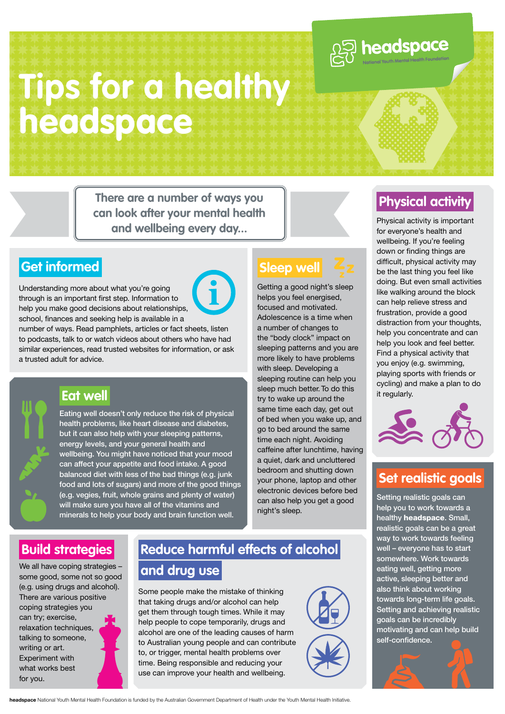# **Tips for a healthy**  headspace

**There are a number of ways you can look after your mental health and wellbeing every day...**



Understanding more about what you're going through is an important first step. Information to help you make good decisions about relationships, school, finances and seeking help is available in a

number of ways. Read pamphlets, articles or fact sheets, listen to podcasts, talk to or watch videos about others who have had similar experiences, read trusted websites for information, or ask a trusted adult for advice.



#### **Eat well**

Eating well doesn't only reduce the risk of physical health problems, like heart disease and diabetes, but it can also help with your sleeping patterns, energy levels, and your general health and wellbeing. You might have noticed that your mood can affect your appetite and food intake. A good balanced diet with less of the bad things (e.g. junk food and lots of sugars) and more of the good things (e.g. vegies, fruit, whole grains and plenty of water) will make sure you have all of the vitamins and minerals to help your body and brain function well.

#### **Sleep well**

Getting a good night's sleep helps you feel energised, focused and motivated. Adolescence is a time when a number of changes to the "body clock" impact on sleeping patterns and you are more likely to have problems with sleep. Developing a sleeping routine can help you sleep much better. To do this try to wake up around the same time each day, get out of bed when you wake up, and go to bed around the same time each night. Avoiding caffeine after lunchtime, having a quiet, dark and uncluttered bedroom and shutting down your phone, laptop and other electronic devices before bed can also help you get a good night's sleep.

#### **Physical activity**

**ASSENGE CONTRACTED** 

Physical activity is important for everyone's health and wellbeing. If you're feeling down or finding things are difficult, physical activity may be the last thing you feel like doing. But even small activities like walking around the block can help relieve stress and frustration, provide a good distraction from your thoughts, help you concentrate and can help you look and feel better. Find a physical activity that you enjoy (e.g. swimming, playing sports with friends or cycling) and make a plan to do it regularly.



#### **Set realistic goals**

Setting realistic goals can help you to work towards a healthy headspace. Small, realistic goals can be a great way to work towards feeling well – everyone has to start somewhere. Work towards eating well, getting more active, sleeping better and also think about working towards long-term life goals. Setting and achieving realistic goals can be incredibly motivating and can help build self-confidence.

#### **Build strategies**

We all have coping strategies some good, some not so good (e.g. using drugs and alcohol). There are various positive coping strategies you can try; exercise, relaxation techniques. talking to someone, writing or art. Experiment with what works best for you.

#### **Reduce harmful effects of alcohol and drug use**

Some people make the mistake of thinking that taking drugs and/or alcohol can help get them through tough times. While it may help people to cope temporarily, drugs and alcohol are one of the leading causes of harm to Australian young people and can contribute to, or trigger, mental health problems over time. Being responsible and reducing your use can improve your health and wellbeing.